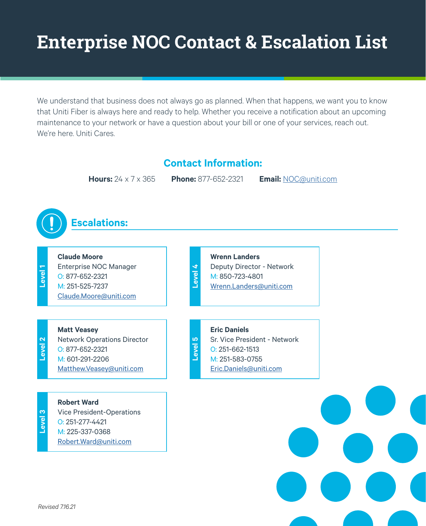## **Enterprise NOC Contact & Escalation List**

We understand that business does not always go as planned. When that happens, we want you to know that Uniti Fiber is always here and ready to help. Whether you receive a notification about an upcoming maintenance to your network or have a question about your bill or one of your services, reach out. We're here. Uniti Cares.

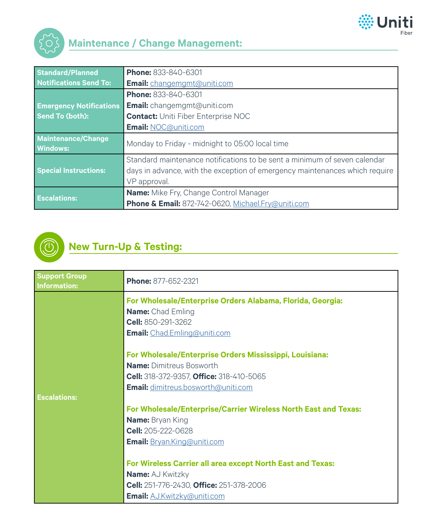



| <b>Standard/Planned</b>               | Phone: 833-840-6301                                                                                                                                                      |
|---------------------------------------|--------------------------------------------------------------------------------------------------------------------------------------------------------------------------|
| <b>Notifications Send To:</b>         | <b>Email:</b> changemgmt@uniti.com                                                                                                                                       |
|                                       | <b>Phone: 833-840-6301</b>                                                                                                                                               |
| <b>Emergency Notifications</b>        | <b>Email:</b> changemgmt@uniti.com                                                                                                                                       |
| <b>Send To (both):</b>                | <b>Contact: Uniti Fiber Enterprise NOC</b>                                                                                                                               |
|                                       | <b>Email: NOC@uniti.com</b>                                                                                                                                              |
| Maintenance/Change<br><b>Windows:</b> | Monday to Friday - midnight to 05:00 local time                                                                                                                          |
| <b>Special Instructions:</b>          | Standard maintenance notifications to be sent a minimum of seven calendar<br>days in advance, with the exception of emergency maintenances which require<br>VP approval. |
| <b>Escalations:</b>                   | <b>Name:</b> Mike Fry, Change Control Manager<br>Phone & Email: 872-742-0620, Michael.Fry@uniti.com                                                                      |



## **New Turn-Up & Testing:**

| <b>Support Group</b><br><b>Information:</b> | Phone: 877-652-2321                                             |
|---------------------------------------------|-----------------------------------------------------------------|
|                                             | For Wholesale/Enterprise Orders Alabama, Florida, Georgia:      |
|                                             | <b>Name:</b> Chad Emling                                        |
|                                             | Cell: 850-291-3262                                              |
|                                             | <b>Email:</b> Chad.Emling@uniti.com                             |
|                                             | For Wholesale/Enterprise Orders Mississippi, Louisiana:         |
|                                             | <b>Name: Dimitreus Bosworth</b>                                 |
|                                             | <b>Cell:</b> 318-372-9357, <b>Office:</b> 318-410-5065          |
|                                             | <b>Email:</b> dimitreus.bosworth@uniti.com                      |
| <b>Escalations:</b>                         |                                                                 |
|                                             | For Wholesale/Enterprise/Carrier Wireless North East and Texas: |
|                                             | <b>Name:</b> Bryan King                                         |
|                                             | Cell: 205-222-0628                                              |
|                                             | <b>Email:</b> Bryan.King@uniti.com                              |
|                                             | For Wireless Carrier all area except North East and Texas:      |
|                                             | <b>Name: AJ Kwitzky</b>                                         |
|                                             | Cell: 251-776-2430, Office: 251-378-2006                        |
|                                             | <b>Email: AJ.Kwitzky@uniti.com</b>                              |